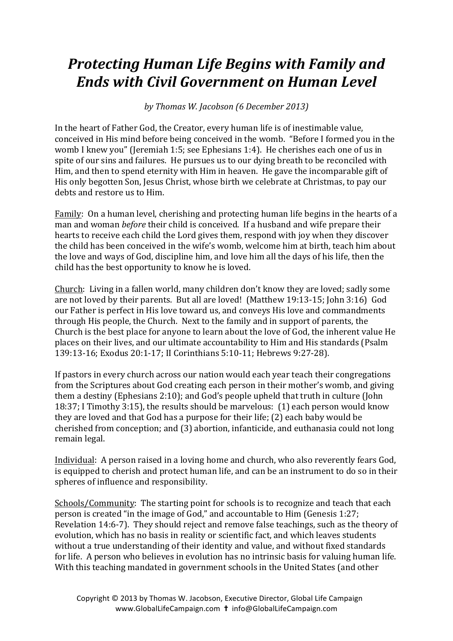## *Protecting Human Life Begins with Family and Ends* with Civil Government on Human Level

*by Thomas W. Jacobson (6 December 2013)*

In the heart of Father God, the Creator, every human life is of inestimable value, conceived in His mind before being conceived in the womb. "Before I formed you in the womb I knew you" (Jeremiah 1:5; see Ephesians 1:4). He cherishes each one of us in spite of our sins and failures. He pursues us to our dying breath to be reconciled with Him, and then to spend eternity with Him in heaven. He gave the incomparable gift of His only begotten Son, Jesus Christ, whose birth we celebrate at Christmas, to pay our debts and restore us to Him.

Family: On a human level, cherishing and protecting human life begins in the hearts of a man and woman *before* their child is conceived. If a husband and wife prepare their hearts to receive each child the Lord gives them, respond with joy when they discover the child has been conceived in the wife's womb, welcome him at birth, teach him about the love and ways of God, discipline him, and love him all the days of his life, then the child has the best opportunity to know he is loved.

Church: Living in a fallen world, many children don't know they are loved; sadly some are not loved by their parents. But all are loved! (Matthew 19:13-15; John 3:16) God our Father is perfect in His love toward us, and conveys His love and commandments through His people, the Church. Next to the family and in support of parents, the Church is the best place for anyone to learn about the love of God, the inherent value He places on their lives, and our ultimate accountability to Him and His standards (Psalm 139:13-16; Exodus 20:1-17; II Corinthians 5:10-11; Hebrews 9:27-28).

If pastors in every church across our nation would each year teach their congregations from the Scriptures about God creating each person in their mother's womb, and giving them a destiny (Ephesians 2:10); and God's people upheld that truth in culture (John 18:37; I Timothy 3:15), the results should be marvelous:  $(1)$  each person would know they are loved and that God has a purpose for their life; (2) each baby would be cherished from conception; and (3) abortion, infanticide, and euthanasia could not long remain legal.

Individual: A person raised in a loving home and church, who also reverently fears God, is equipped to cherish and protect human life, and can be an instrument to do so in their spheres of influence and responsibility.

Schools/Community: The starting point for schools is to recognize and teach that each person is created "in the image of God," and accountable to  $\text{Him}$  (Genesis 1:27; Revelation 14:6-7). They should reject and remove false teachings, such as the theory of evolution, which has no basis in reality or scientific fact, and which leaves students without a true understanding of their identity and value, and without fixed standards for life. A person who believes in evolution has no intrinsic basis for valuing human life. With this teaching mandated in government schools in the United States (and other